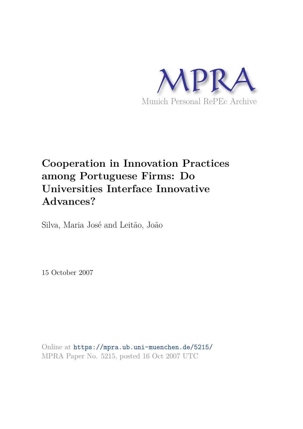

# **Cooperation in Innovation Practices among Portuguese Firms: Do Universities Interface Innovative Advances?**

Silva, Maria José and Leitão, João

15 October 2007

Online at https://mpra.ub.uni-muenchen.de/5215/ MPRA Paper No. 5215, posted 16 Oct 2007 UTC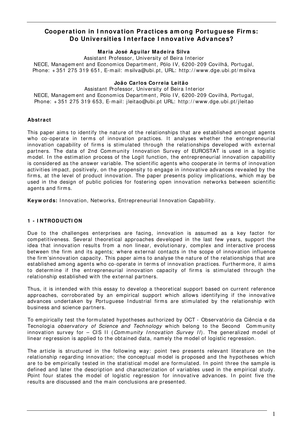## **Cooperation in I nnovation Practices am ong Portuguese Firm s: Do Universities I nterface I nnovative Advances?**

## **Maria José Aguilar Madeira Silva**

Assistant Professor, University of Beira I nterior NECE, Managem ent and Economics Department, Pólo IV, 6200-209 Covilhã, Portugal, Phone: +351 275 319 651, E-mail: m silva@ubi.pt, URL: http://www.dge.ubi.pt/m silva

## **João Carlos Correia Leitão**

Assistant Professor, University of Beira Interior NECE, Managem ent and Economics Department, Pólo IV, 6200-209 Covilhã, Portugal, Phone: + 351 275 319 653, E-m ail: jleitao@ubi.pt URL: http: / / www.dge.ubi.pt/ jleitao

## **Abstract**

This paper aims to identify the nature of the relationships that are established amongst agents who co-operate in terms of innovation practices. It analyses whether the entrepreneurial innovation capability of firms is stimulated through the relationships developed with external partners. The data of 2nd Community Innovation Survey of EUROSTAT is used in a logistic model. In the estimation process of the Logit function, the entrepreneurial innovation capability is considered as the answer variable. The scientific agents who cooperate in terms of innovation activities impact, positively, on the propensity to engage in innovative advances revealed by the firm s, at the level of product innovation. The paper presents policy im plications, which m ay be used in the design of public policies for fostering open innovation networks between scientific agents and firm s.

Keyw ords: Innovation, Networks, Entrepreneurial Innovation Capability.

## **1 - I NTRODUCTI ON**

Due to the challenges enterprises are facing, innovation is assum ed as a key factor for com petitiveness. Several theoretical approaches developed in the last few years, support the idea that innovation results from a non linear, evolutionary, complex and interactive process between the firm and its agents; where external contacts in the scope of innovation influence the firm 'sinnovation capacity. This paper aims to analyse the nature of the relationships that are established am ong agents who co-operate in term s of innovation practices. Furtherm ore, it aim s to determine if the entrepreneurial innovation capacity of firms is stimulated through the relationship established with the external partners.

Thus, it is intended with this essay to develop a theoretical support based on current reference approaches, corroborated by an em pirical support which allows identifying if the innovative advances undertaken by Portuguese Industrial firms are stimulated by the relationship with business and science partners.

To em pirically test the form ulated hypotheses authorized by OCT - Observatório da Ciência e da Tecnologia *observatory of Science and Technology* which belong to the Second Community innovation survey for  $-$  CIS II (Community Innovation Survey II). The generalized model of linear regression is applied to the obtained data, nam ely the m odel of logistic regression.

The article is structured in the following way: point two presents relevant literature on the relationship regarding innovation; the conceptual m odel is proposed and the hypotheses which are to be empirically tested in the statistical model are formulated. In point three the sample is defined and later the description and characterization of variables used in the empirical study. Point four states the model of logistic regression for innovative advances. In point five the results are discussed and the m ain conclusions are presented.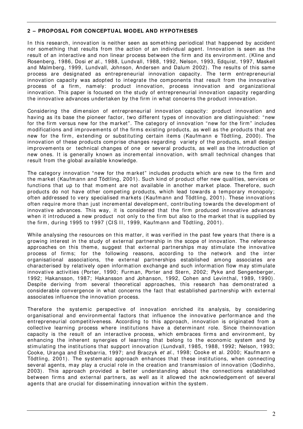## **2 – PROPOSAL FOR CONCEPTUAL MODEL AND HYPOTH ESES**

In this research, innovation is neither seen as something periodical that happened by accident nor something that results from the action of an individual agent. Innovation is seen as the result of an interactive and non linear process between the firm and its environm ent. (Kline and Rosenberg, 1986, Dosi et al., 1988, Lundvall, 1988, 1992, Nelson, 1993, Edquist, 1997, Maskell and Malmberg, 1999, Lundvall, Johnson, Andersen and Dalum 2002). The results of this same process are designated as entrepreneurial innovation capacity. The term entrepreneurial innovation capacity was adopted to integrate the components that result from the innovative process of a firm, namely: product innovation, process innovation and organizational innovation. This paper is focused on the study of entrepreneurial innovation capacity regarding the innovative advances undertaken by the firm in what concerns the product innovation.

Considering the dimension of entrepreneurial innovation capacity: product innovation and having as its base the pioneer factor, two different types of innovation are distinguished: "new for the firm versus new for the market". The category of innovation "new for the firm" includes m odifications and im provem ents of the firm s existing products, as well as the products that are new for the firm, extending or substituting certain items (Kaufmann e Tödtling, 2000). The innovation of these products comprise changes regarding variety of the products, small design improvements or technical changes of one or several products, as well as the introduction of new ones. It is generally known as incremental innovation, with small technical changes that result from the global available knowledge.

The category innovation "new for the m arket" includes products which are new to the firm and the m arket (Kaufm ann and Tödtling, 2001). Such kind of product offer new qualities, services or functions that up to that moment are not available in another market place. Therefore, such products do not have other competing products, which lead towards a temporary monopoly; often addressed to very specialised markets (Kaufmann and Tödtling, 2001). These innovations often require m ore than just increm ental developm ent, contributing towards the developm ent of innovative advances. This way, it is considered that the firm produced innovative advances when it introduced a new product not only to the firm but also to the market that is supplied by the firm, during 1995 to 1997 (CIS II, 1999, Kaufmann and Tödtling, 2001).

While analysing the resources on this matter, it was verified in the past few years that there is a growing interest in the study of external partnership in the scope of innovation. The reference approaches on this theme, suggest that external partnerships may stimulate the innovative process of firms; for the following reasons, according to the network and the inter organisational associations, the external partnerships established am ong associates are characterised by relatively open inform ation exchange and such inform ation flow m ay stim ulate innovative activities (Porter, 1990; Furman, Porter and Stern, 2002; Pyke and Sengenberger, 1992; Hakansson, 1987; Hakansson and Johanson, 1992, Cohen and Levinthal, 1989, 1990). Despite deriving from several theoretical approaches, this research has demonstrated a considerable convergence in what concerns the fact that established partnership with external associates influence the innovation process.

Therefore the systemic perspective of innovation enriched its analysis, by considering organisational and environm ental factors that influence the innovative perform ance and the entrepreneurial com petitiveness. According to this approach, innovation is originated from a collective learning process where institutions have a determ inant role. Since theinnovation capacity is the result of an interactive process, which embraces firms and environment, by enhancing the inherent synergies of learning that belong to the economic system and by stim ulating the institutions that support innovation (Lundvall, 1985, 1988, 1992; Nelson, 1993; Cooke, Uranga and Etxebarria, 1997; and Braczyk et al., 1998; Cooke et al. 2000; Kaufmann e Tödtling, 2001). The system atic approach enhances that these institutions, when connecting several agents, may play a crucial role in the creation and transmission of innovation (Godinho, 2003). This approach provided a better understanding about the connections established between firms and external partners, as well as it allowed the acknowledgement of several agents that are crucial for dissem inating innovation within the system .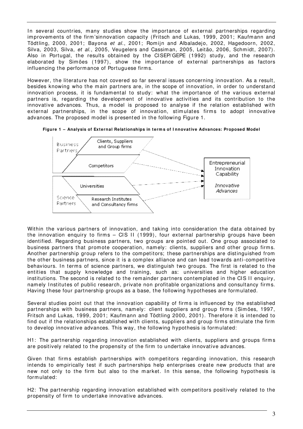In several countries, many studies show the importance of external partnerships regarding improvements of the firm'sinnovation capacity (Fritsch and Lukas, 1999, 2001; Kaufmann and Tödtling, 2000, 2001; Bayona et al., 2001; Romijn and Albaladejo, 2002, Hagedoorn, 2002, Silva, 2003, Silva, et al., 2005, Veugelers and Cassiman, 2005, Leitão, 2006, Schmidt, 2007). Also in Portugal, the results obtained by the CI SEP/ GEPE (1992) study, and the research elaborated by Simões (1997), show the importance of external partnerships as factors influencing the perform ance of Portuguese firm s.

However, the literature has not covered so far several issues concerning innovation. As a result, besides knowing who the m ain partners are, in the scope of innovation, in order to understand innovation process, it is fundamental to study; what the importance of the various external partners is, regarding the developm ent of innovative activities and its contribution to the innovative advances. Thus, a m odel is proposed to analyse if the relation established with external partnerships, in the scope of innovation, stimulates firms to adopt innovative advances. The proposed model is presented in the following Figure 1.





Within the various partners of innovation, and taking into consideration the data obtained by the innovation enquiry to firms  $-$  CIS II (1999), four external partnership groups have been identified. Regarding business partners, two groups are pointed out. One group associated to business partners that promote cooperation, namely: clients, suppliers and other group firms. Another partnership group refers to the competitors; these partnerships are distinguished from the other business partners, since it is a complex alliance and can lead towards anti-competitive behaviours. In terms of science partners, we distinguish two groups. The first is related to the entities that supply knowledge and training, such as: universities and higher education institutions. The second is related to the remainder partners contemplated in the CIS II enquiry, namely Institutes of public research, private non profitable organizations and consultancy firms. Having these four partnership groups as a base, the following hypotheses are form ulated.

Several studies point out that the innovation capability of firms is influenced by the established partnerships with business partners, namely: client suppliers and group firms (Simões, 1997, Fritsch and Lukas, 1999, 2001; Kaufm ann and Tödtling 2000, 2001). Therefore it is intended to find out if the relationships established with clients, suppliers and group firm s stim ulate the firm to develop innovative advances. This way, the following hypothesis is form ulated:

H1: The partnership regarding innovation established with clients, suppliers and groups firm s are positively related to the propensity of the firm to undertake innovative advances.

Given that firms establish partnerships with competitors regarding innovation, this research intends to em pirically test if such partnerships help enterprises create new products that are new not only to the firm but also to the market. In this sense, the following hypothesis is form ulated:

H2: The partnership regarding innovation established with competitors positively related to the propensity of firm to undertake innovative advances.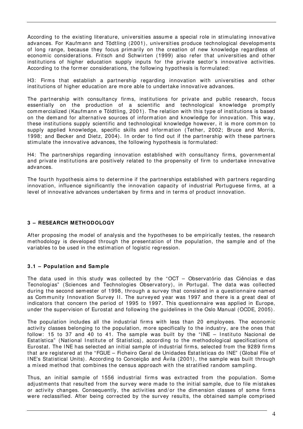According to the existing literature, universities assum e a special role in stim ulating innovative advances. For Kaufmann and Tödtling (2001), universities produce technological developments of long range, because they focus prim arily on the creation of new knowledge regardless of econom ic considerations. Fritsch and Schwirten (1999) also refer that universities and other institutions of higher education supply inputs for the private sector's innovative activities. According to the former considerations, the following hypothesis is formulated:

H3: Firms that establish a partnership regarding innovation with universities and other institutions of higher education are more able to undertake innovative advances.

The partnership with consultancy firms, institutions for private and public research, focus essentially on the production of a scientific and technological knowledge promptly com m ercialized ( Kaufm ann e Töldtling, 2001). The relation with this type of institutions is based on the dem and for alternative sources of inform ation and knowledge for innovation. This way, these institutions supply scientific and technological knowledge however, it is more common to supply applied knowledge, specific skills and inform ation (Tether, 2002; Bruce and Morris, 1998; and Becker and Dietz, 2004). In order to find out if the partnership with these partners stim ulate the innovative advances, the following hypothesis is form ulated:

H4: The partnerships regarding innovation established with consultancy firms, governmental and private institutions are positively related to the propensity of firm to undertake innovative advances.

The fourth hypothesis aims to determine if the partnerships established with partners regarding innovation, influence significantly the innovation capacity of industrial Portuguese firms, at a level of innovative advances undertaken by firms and in terms of product innovation.

## **3 – RESEARCH METH ODOLOGY**

After proposing the model of analysis and the hypotheses to be empirically testes, the research methodology is developed through the presentation of the population, the sample and of the variables to be used in the estim ation of logistic regression.

## **3 .1 – Population and Sam ple**

The data used in this study was collected by the "OCT – Observatório das Ciências e das Tecnologias" (Sciences and Technologies Observatory), in Portugal. The data was collected during the second sem ester of 1998, through a survey that consisted in a questionnaire nam ed as Community Innovation Survey II. The surveyed year was 1997 and there is a great deal of indicators that concern the period of 1995 to 1997. This questionnaire was applied in Europe, under the supervision of Eurostat and following the guidelines in the Oslo Manual (OCDE, 2005) .

The population includes all the industrial firms with less than 20 employees. The economic activity classes belonging to the population, more specifically to the industry, are the ones that follow: 15 to 37 and 40 to 41. The sample was built by the "INE - Instituto Nacional de Estatística" (National Institute of Statistics), according to the methodological specifications of Eurostat. The INE has selected an initial sample of industrial firms, selected from the 9289 firms that are registered at the "FGUE – Ficheiro Geral de Unidades Estatísticas do I NE" (Global File of I NE's Statistical Units). According to Conceição and Ávila (2001), the sam ple was built through a mixed method that combines the census approach with the stratified random sampling.

Thus, an initial sample of 1556 industrial firms was extracted from the population. Some adjustments that resulted from the survey were made to the initial sample, due to file mistakes or activity changes. Consequently, the activities and/or the dimension classes of some firms were reclassified. After being corrected by the survey results, the obtained sample comprised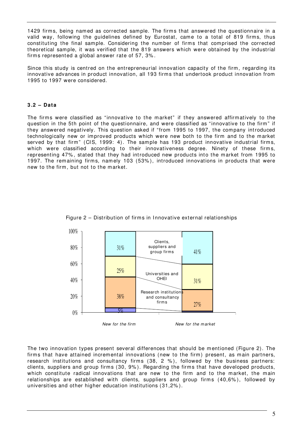1429 firms, being named as corrected sample. The firms that answered the questionnaire in a valid way, following the guidelines defined by Eurostat, came to a total of 819 firms, thus constituting the final sample. Considering the number of firms that comprised the corrected theoretical sam ple, it was verified that the 819 answers which were obtained by the industrial firm s represented a global answer rate of 57, 3% .

Since this study is centred on the entrepreneurial innovation capacity of the firm, regarding its innovative advances in product innovation, all 193 firm s that undertook product innovation from 1995 to 1997 were considered.

## **3 .2 – Data**

The firms were classified as "innovative to the market" if they answered affirmatively to the question in the 5th point of the questionnaire, and were classified as "innovative to the firm " if they answered negatively. This question asked if "from 1995 to 1997, the company introduced technologically new or improved products which were new both to the firm and to the market served by that firm" (CIS, 1999: 4). The sample has 193 product innovative industrial firms, which were classified according to their innovativeness degree. Ninety of these firms, representing 47%, stated that they had introduced new products into the market from 1995 to 1997. The rem aining firm s, nam ely 103 (53% ), introduced innovations in products that were new to the firm , but not to the m arket.





The two innovation types present several differences that should be mentioned (Figure 2). The firms that have attained incremental innovations (new to the firm) present, as main partners, research institutions and consultancy firms  $(38, 2 %)$ , followed by the business partners: clients, suppliers and group firm s (30, 9% ). Regarding the firm s that have developed products, which constitute radical innovations that are new to the firm and to the market, the main relationships are established with clients, suppliers and group firms (40,6%), followed by universities and other higher education institutions (31,2% ).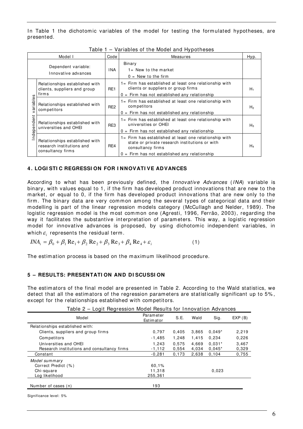In Table 1 the dichotomic variables of the model for testing the formulated hypotheses, are presented.

| Model I                                    |                                                                                  | Code            | . a. .a. .oo o. o oao. a. .a, pooooo<br>Measures                                                                                                                                 | Hyp.           |
|--------------------------------------------|----------------------------------------------------------------------------------|-----------------|----------------------------------------------------------------------------------------------------------------------------------------------------------------------------------|----------------|
| Dependent variable:<br>Innovative advances |                                                                                  | INA.            | Binary<br>$1 =$ New to the market<br>$0 =$ New to the firm                                                                                                                       |                |
| ၯ<br>ariable<br>↘<br>ndependent            | Relationships established with<br>clients, suppliers and group<br>firms          | RE1             | 1= Firm has established at least one relationship with<br>clients or suppliers or group firms<br>$0 =$ Firm has not established any relationship                                 | $H_1$          |
|                                            | Relationships established with<br>competitors                                    | RE <sub>2</sub> | 1= Firm has established at least one relationship with<br>competitors<br>$0 =$ Firm has not established any relationship                                                         | H <sub>2</sub> |
|                                            | Relationships established with<br>universities and OHEI                          | RE3             | 1= Firm has established at least one relationship with<br>universities or OHEI<br>$0 =$ Firm has not established any relationship                                                | $H_3$          |
|                                            | Relationships established with<br>research institutions and<br>consultancy firms | RE4             | 1= Firm has established at least one relationship with<br>state or private research institutions or with<br>consultancy firms<br>$0 =$ Firm has not established any relationship | $H_4$          |

Table 1 – Variables of the Model and Hypotheses

#### **4 . LOGI STI C REGRESSI ON FOR I NNOVATI VE ADVANCES**

According to what has been previously defined, the *Innovative Advances (INA)* variable is binary, with values equal to 1, if the firm has developed product innovations that are new to the m arket, or equal to 0, if the firm has developed product innovations that are new only to the firm. The binary data are very common among the several types of categorical data and their m odelling is part of the linear regression m odels category (McCullagh and Nelder, 1989). The logistic regression model is the most common one (Agresti, 1996, Ferrão, 2003), regarding the way it facilitates the substantive interpretation of parameters. This way, a logistic regression model for innovative advances is proposed, by using dichotomic independent variables, in which  $\varepsilon^{\vphantom{\dagger}}_i$  represents the residual term.

$$
INAi = \beta0 + \beta1 Re1 + \beta2 Re2 + \beta3 Re3 + \beta4 Re4 + \varepsiloni
$$
 (1)

The estimation process is based on the maximum likelihood procedure.

#### **5 – RESULTS: PRESENTATI ON AND DI SCUSSI ON**

The estim ators of the final m odel are presented in Table 2. According to the Wald statistics, we detect that all the estimators of the regression parameters are statistically significant up to 5%, except for the relationships established with com petitors.

| Table 2 - Logit Regression Model Results for Innovation Advances |                        |       |       |          |        |  |  |
|------------------------------------------------------------------|------------------------|-------|-------|----------|--------|--|--|
| Model                                                            | Parameter<br>Estimator | S.E.  | Wald  | Sig.     | EXP(B) |  |  |
| Relationships established with:                                  |                        |       |       |          |        |  |  |
| Clients, suppliers and group firms                               | 0.797                  | 0,405 | 3,865 | $0.049*$ | 2,219  |  |  |
| Competitors                                                      | $-1,485$               | 1.248 | 1.415 | 0.234    | 0,226  |  |  |
| Universities and OHEI                                            | 1.243                  | 0.575 | 4.669 | $0.031*$ | 3.467  |  |  |
| Research institutions and consultancy firms                      | $-1,112$               | 0.554 | 4,034 | $0.045*$ | 0,329  |  |  |
| Constant                                                         | $-0,281$               | 0.173 | 2,638 | 0.104    | 0.755  |  |  |
| Model summary                                                    |                        |       |       |          |        |  |  |
| Correct Predict (%)                                              | 60.1%                  |       |       |          |        |  |  |
| Chi-square                                                       | 11,318                 |       |       | 0,023    |        |  |  |
| Log likelihood                                                   | 255,361                |       |       |          |        |  |  |
| Number of cases (n)                                              | 193                    |       |       |          |        |  |  |

 $\sim$  Table 2 – Logita Model Depute for Innovation

Significance level: 5%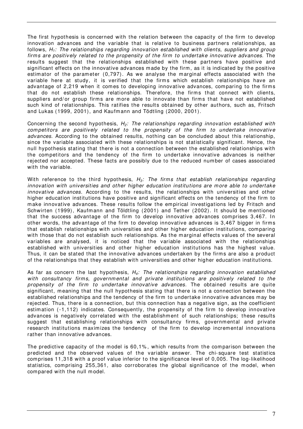The first hypothesis is concerned with the relation between the capacity of the firm to develop innovation advances and the variable that is relative to business partners relationships, as follows,  $H_1$ : The relationships regarding innovation established with clients, suppliers and group firms are positively related to the propensity of the firm to undertake innovative advances. The results suggest that the relationships established with these partners have positive and significant effects on the innovative advances m ade by the firm , as it is indicated by the positive estimator of the parameter (0,797). As we analyse the marginal effects associated with the variable here at study, it is verified that the firms which establish relationships have an advantage of 2,219 when it comes to developing innovative advances, comparing to the firms that do not establish these relationships. Therefore, the firms that connect with clients, suppliers and/or group firms are more able to innovate than firms that have not established such kind of relationships. This ratifies the results obtained by other authors, such as, Fritsch and Lukas (1999, 2001), and Kaufm ann and Tödtling (2000, 2001).

Concerning the second hypothesis,  $H_2$ : The relationships regarding innovation established with com petitors are positively related to the propensity of the firm to undertake innovative advances. According to the obtained results, nothing can be concluded about this relationship, since the variable associated with these relationships is not statistically significant. Hence, the null hypothesis stating that there is not a connection between the established relationships with the com petitors and the tendency of the firm to undertake innovative advances is neither rejected nor accepted. These facts are possibly due to the reduced num ber of cases associated with the variable.

With reference to the third hypothesis,  $H_3$ : The firms that establish relationships regarding innovation with universities and other higher education institutions are more able to undertake innovative advances. According to the results, the relationships with universities and other higher education institutions have positive and significant effects on the tendency of the firm to m ake innovative advances. These results follow the em pirical investigations led by Fritsch and Schwirten (1999), Kaufmann and Töldtling (2001) and Tether (2002). It should be mentioned that the success advantage of the firm to develop innovative advances comprises 3,467. In other words, the advantage of the firm to develop innovative advances is 3,467 bigger in firm s that establish relationships with universities and other higher education institutions, comparing with those that do not establish such relationships. As the marginal effects values of the several variables are analysed, it is noticed that the variable associated with the relationships established with universities and other higher education institutions has the highest value. Thus, it can be stated that the innovative advances undertaken by the firms are also a product of the relationships that they establish with universities and other higher education institutions.

As far as concern the last hypothesis,  $H_4$ : The relationships regarding innovation established with consultancy firms, governmental and private institutions are positively related to the propensity of the firm to undertake innovative advances. The obtained results are quite significant, m eaning that the null hypothesis stating that there is not a connection between the established relationships and the tendency of the firm to undertake innovative advances m ay be rejected. Thus, there is a connection, but this connection has a negative sign, as the coefficient estim ation (-1,112) indicates. Consequently, the propensity of the firm to develop innovative advances is negatively correlated with the establishm ent of such relationships; these results suggest that establishing relationships with consultancy firms, governmental and private research institutions maximizes the tendency of the firm to develop incremental innovations rather than innovative advances.

The predictive capacity of the model is 60,1%, which results from the comparison between the predicted and the observed values of the variable answer. The chi- square test statistics com prises 11,318 with a proof value inferior to the significance level of 0,005. The log-likelihood statistics, com prising 255,361, also corroborates the global significance of the m odel, when com pared with the null m odel.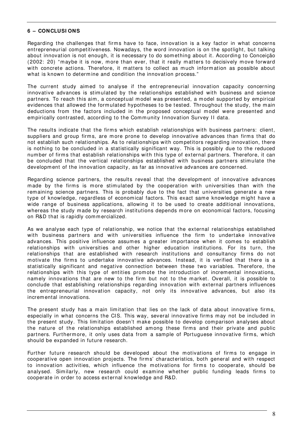## **6 – CONCLUSI ONS**

Regarding the challenges that firms have to face, innovation is a key factor in what concerns entrepreneurial com petitiveness. Nowadays, the word innovation is on the spotlight, but talking about innovation is not enough, it is necessary to do som ething about it. According to Conceição (2002: 20) "m aybe it is now, m ore than ever, that it really m atters to decisively m ove forward with concrete actions. Therefore, it matters to collect as much information as possible about what is known to determine and condition the innovation process."

The current study aim ed to analyse if the entrepreneurial innovation capacity concerning innovative advances is stim ulated by the relationships established with business and science partners. To reach this aim, a conceptual model was presented, a model supported by empirical evidences that allowed the formulated hypotheses to be tested. Throughout the study, the main deductions from the factors included in the proposed conceptual model were presented and empirically contrasted, according to the Community Innovation Survey II data.

The results indicate that the firms which establish relationships with business partners: client, suppliers and group firms, are more prone to develop innovative advances than firms that do not establish such relationships. As to relationships with com petitors regarding innovation, there is nothing to be concluded in a statistically significant way. This is possibly due to the reduced num ber of firm s that establish relationships with this type of external partners. Therefore, it can be concluded that the vertical relationships established with business partners stim ulate the developm ent of the innovation capacity, as far as innovative advances are concerned.

Regarding science partners, the results reveal that the developm ent of innovative advances made by the firms is more stimulated by the cooperation with universities than with the rem aining science partners. This is probably due to the fact that universities generate a new type of knowledge, regardless of economical factors. This exact same knowledge might have a wide range of business applications, allowing it to be used to create additional innovations, whereas the study made by research institutions depends more on economical factors, focusing on R&D that is rapidly com m ercialized.

As we analyse each type of relationship, we notice that the external relationships established with business partners and with universities influence the firm to undertake innovative advances. This positive influence assumes a greater importance when it comes to establish relationships with universities and other higher education institutions. For its turn, the relationships that are established with research institutions and consultancy firms do not motivate the firms to undertake innovative advances. Instead, it is verified that there is a statistically significant and negative connection between these two variables. Therefore, the relationships with this type of entities promote the introduction of incremental innovations, nam ely innovations that are new to the firm but not to the m arket. Overall, it is possible to conclude that establishing relationships regarding innovation with external partners influences the entrepreneurial innovation capacity, not only its innovative advances, but also its increm ental innovations.

The present study has a main limitation that lies on the lack of data about innovative firms, especially in what concerns the CIS. This way, several innovative firms may not be included in the present study. This limitation doesn't make possible to develop comparison analyses about the nature of the relationships established among these firms and their private and public partners. Furthermore, it only uses data from a sample of Portuguese innovative firms, which should be expanded in future research.

Further future research should be developed about the motivations of firms to engage in cooperative open innovation projects. The firm s' charact eristics, both general and with respect to innovation activities, which influence the motivations for firms to cooperate, should be analysed. Similarly, new research could examine whether public funding leads firms to cooperate in order to access ext ernal knowledge and R&D.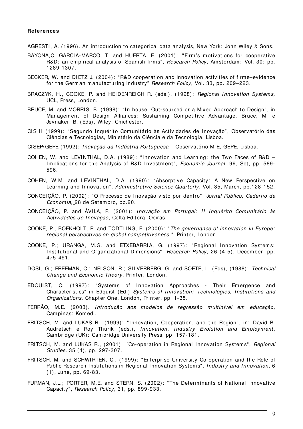#### **References**

- AGRESTI, A. (1996). An introduction to categorical data analysis, New York: John Wiley & Sons.
- BAYONA,C. GARCI A-MARCO, T. and HUERTA, E. (2001): **"**Firm 's m otivations for cooperative R&D: an empirical analysis of Spanish firms", Research Policy, Amsterdam; Vol. 30; pp. 1289-1307.
- BECKER, W. and DIETZ J. (2004): "R&D cooperation and innovation activities of firms-evidence for the German manufacturing industry" Research Policy, Vol. 33, pp. 209-223.
- BRACZYK, H., COOKE, P. and HEIDENREICH R. (eds.), (1998): Regional Innovation Systems, UCL, Press, London.
- BRUCE, M. and MORRIS, B. (1998): "In house, Out-sourced or a Mixed Approach to Design", in Managem ent of Design Alliances: Sustaining Com petitive Advantage, Bruce, M. e Jevnaker, B. (Eds) , Wiley, Chichester.
- CIS II (1999): "Segundo Inquérito Comunitário às Actividades de Inovação", Observatório das Ciências e Tecnologias, Ministério da Ciência e da Tecnologia, Lisboa.
- CISEP/ GEPE (1992): Inovação da Indústria Portuguesa Observatório MIE, GEPE, Lisboa.
- COHEN, W. and LEVINTHAL, D.A. (1989): "Innovation and Learning: the Two Faces of R&D  $-$ Implications for the Analysis of R&D Investment", *Economic Journal*, 99, Set, pp. 569-596.
- COHEN, W.M. and LEVINTHAL, D.A. (1990): "Absorptive Capacity: A New Perspective on Learning and Innovation", Administrative Science Quarterly, Vol. 35, March, pp.128-152.
- CONCEI ÇÃO, P. (2002): "O Processo de I novação visto por dentro", Jornal Público, Caderno de Econom ia, 28 de Setem bro, pp.20.
- CONCEI CÃO, P. and ÁVILA, P. (2001): Inovação em Portugal: II Inquérito Comunitário às Actividades de Inovação, Celta Editora, Oeiras.
- COOKE, P., BOEKHOLT, P. and TÖDTLING, F. (2000): "The governance of innovation in Europe: regional perspectives on global competitiveness", Printer, London.
- COOKE, P.; URANGA, M.G. and ETXEBARRIA, G. (1997): "Regional Innovation Systems: Institutional and Organizational Dimensions", Research Policy, 26 (4-5), December, pp. 475-491.
- DOSI, G.; FREEMAN, C.; NELSON, R.; SILVERBERG, G. and SOETE, L. (Eds), (1988): Technical Change and Economic Theory, Printer, London.
- EDQUIST, C. (1997): "Systems of Innovation Approaches Their Emergence and Characteristics<sup>"</sup> in Edquist (Ed.) Systems of Innovation: Technologies, Institutions and Organizations, Chapter One, London, Printer, pp. 1-35.
- FERRÃO, M.E. (2003). Introdução aos modelos de regressão multinível em educação, Cam pinas: Kom edi.
- FRITSCH, M. and LUKAS R., (1999): "Innovation, Cooperation, and the Region", in: David B. Audretsch e Roy Thurik (eds.), Innovation, Industry Evolution and Employment, Cam bridge (UK): Cam bridge University Press, pp. 157-181.
- FRITSCH, M. and LUKAS R., (2001): "Co-operation in Regional Innovation Systems", *Regional* Studies, 35 (4), pp. 297-307.
- FRI TSCH, M. and SCHWI RTEN, C., (1999): "Enterprise-University Co-operation and the Role of Public Research Institutions in Regional Innovation Systems", Industry and Innovation, 6 (1), June, pp. 69-83.
- FURMAN, J.L.; PORTER, M.E. and STERN, S. (2002): "The Determinants of National Innovative Capacity", Research Policy, 31, pp. 899-933.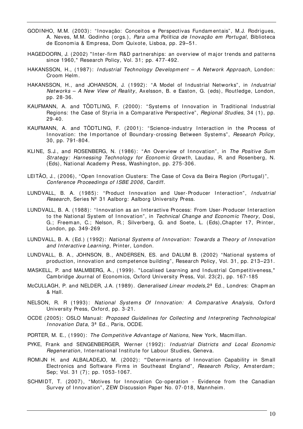- GODINHO, M.M. (2003): "Inovação: Conceitos e Perspectivas Fundamentais", M.J. Rodrigues, A. Neves, M.M. Godinho (orgs.), Para uma Política de Inovação em Portugal, Biblioteca de Econom ia & Em presa, Dom Quixote, Lisboa, pp. 29–51.
- HAGEDOORN, J. (2002) "Inter-firm R&D partnerships: an overview of major trends and patterns since 1960," Research Policy, Vol. 31; pp. 477- 492.
- HAKANSSON, H., (1987): Industrial Technology Development A Network Approach, London: Croom Helm .
- HAKANSSON, H., and JOHANSON, J. (1992): "A Model of Industrial Networks", in Industrial Networks - A New View of Reality, Axelsson, B. e Easton, G. (eds), Routledge, London, pp. 28-36.
- KAUFMANN, A. and TÖDTLING, F. (2000): "Systems of Innovation in Traditional Industrial Regions: the Case of Styria in a Comparative Perspective", Regional Studies, 34 (1), pp. 29-40.
- KAUFMANN, A. and TÖDTLING, F. (2001): "Science-industry Interaction in the Process of Innovation: the Importance of Boundary-crossing Between Systems", Research Policy, 30, pp. 791-804.
- KLINE, S.J., and ROSENBERG, N. (1986): "An Overview of Innovation", in The Positive Sum Strategy: Harnessing Technology for Economic Growth, Laudau, R. and Rosenberg, N. (Eds), National Academ y Press, Washington, pp. 275-306.
- LEITÃO, J., (2006), "Open Innovation Clusters: The Case of Cova da Beira Region (Portugal)", Conference Proceedings of ISBE 2006, Cardiff.
- LUNDVALL, B. A. (1985): "Product Innovation and User-Producer Interaction", Industrial Research, Series Nº 31 Aalborg: Aalborg University Press.
- LUNDVALL, B. A. (1988): "Innovation as an Interactive Process: From User-Producer Interaction to the National System of Innovation", in Technical Change and Economic Theory, Dosi, G.; Freem an, C.; Nelson, R.; Silverberg, G. and Soete, L. (Eds),Chapter 17, Printer, London, pp. 349- 269
- LUNDVALL, B. A. (Ed.) (1992): National Systems of Innovation: Towards a Theory of Innovation and Interactive Learning, Printer, London.
- LUNDVALL, B. A., JOHNSON, B., ANDERSEN, ES. and DALUM B. (2002) "National systems of production, innovation and competence building", Research Policy, Vol. 31, pp. 213–231.
- MASKELL, P. and MALMBERG, A., (1999). "Localised Learning and I ndustrial Com petitiveness," Cam bridge Journal of Econom ics, Oxford University Press, Vol. 23(2), pp. 167-185
- McCULLAGH, P. and NELDER, J.A. (1989). Generalised Linear models, 2<sup>ª</sup> Ed., Londres: Chapman & Hall.
- NELSON, R. R (1993): National Systems Of Innovation: A Comparative Analysis, Oxford University Press, Oxford, pp. 3-21.
- OCDE (2005): OSLO Manual: Proposed Guidelines for Collecting and Interpreting Technological Innovation Data, 3<sup>ª</sup> Ed., Paris, OCDE.
- PORTER, M. E., (1990): The Competitive Advantage of Nations, New York, Macmillan.
- PYKE, Frank and SENGENBERGER, Werner (1992): Industrial Districts and Local Economic Regeneration, International Institute for Labour Studies, Geneva.
- ROMI JN H. and ALBALADEJO, M. (2002): "Determinants of Innovation Capability in Small Electronics and Software Firms in Southeast England", Research Policy, Amsterdam; Sep; Vol. 31 (7); pp. 1053-1067.
- SCHMIDT, T. (2007), "Motives for Innovation Co-operation Evidence from the Canadian Survey of Innovation", ZEW Discussion Paper No. 07-018, Mannheim,